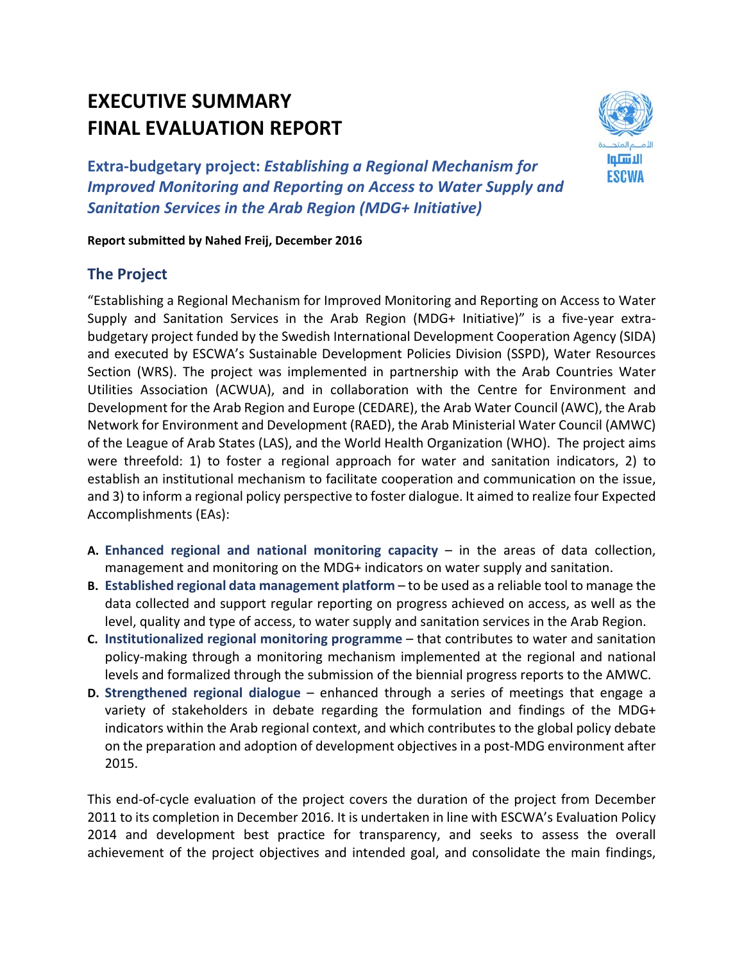# **EXECUTIVE SUMMARY FINAL EVALUATION REPORT**



**Extra‐budgetary project:** *Establishing a Regional Mechanism for Improved Monitoring and Reporting on Access to Water Supply and Sanitation Services in the Arab Region (MDG+ Initiative)*

#### **Report submitted by Nahed Freij, December 2016**

## **The Project**

"Establishing a Regional Mechanism for Improved Monitoring and Reporting on Access to Water Supply and Sanitation Services in the Arab Region (MDG+ Initiative)" is a five-year extrabudgetary project funded by the Swedish International Development Cooperation Agency (SIDA) and executed by ESCWA's Sustainable Development Policies Division (SSPD), Water Resources Section (WRS). The project was implemented in partnership with the Arab Countries Water Utilities Association (ACWUA), and in collaboration with the Centre for Environment and Development for the Arab Region and Europe (CEDARE), the Arab Water Council (AWC), the Arab Network for Environment and Development (RAED), the Arab Ministerial Water Council (AMWC) of the League of Arab States (LAS), and the World Health Organization (WHO). The project aims were threefold: 1) to foster a regional approach for water and sanitation indicators, 2) to establish an institutional mechanism to facilitate cooperation and communication on the issue, and 3) to inform a regional policy perspective to foster dialogue. It aimed to realize four Expected Accomplishments (EAs):

- **A. Enhanced regional and national monitoring capacity** in the areas of data collection, management and monitoring on the MDG+ indicators on water supply and sanitation.
- **B. Established regional data management platform** to be used as a reliable tool to manage the data collected and support regular reporting on progress achieved on access, as well as the level, quality and type of access, to water supply and sanitation services in the Arab Region.
- **C. Institutionalized regional monitoring programme** that contributes to water and sanitation policy‐making through a monitoring mechanism implemented at the regional and national levels and formalized through the submission of the biennial progress reports to the AMWC.
- **D. Strengthened regional dialogue** enhanced through a series of meetings that engage a variety of stakeholders in debate regarding the formulation and findings of the MDG+ indicators within the Arab regional context, and which contributes to the global policy debate on the preparation and adoption of development objectivesin a post‐MDG environment after 2015.

This end‐of‐cycle evaluation of the project covers the duration of the project from December 2011 to its completion in December 2016. It is undertaken in line with ESCWA's Evaluation Policy 2014 and development best practice for transparency, and seeks to assess the overall achievement of the project objectives and intended goal, and consolidate the main findings,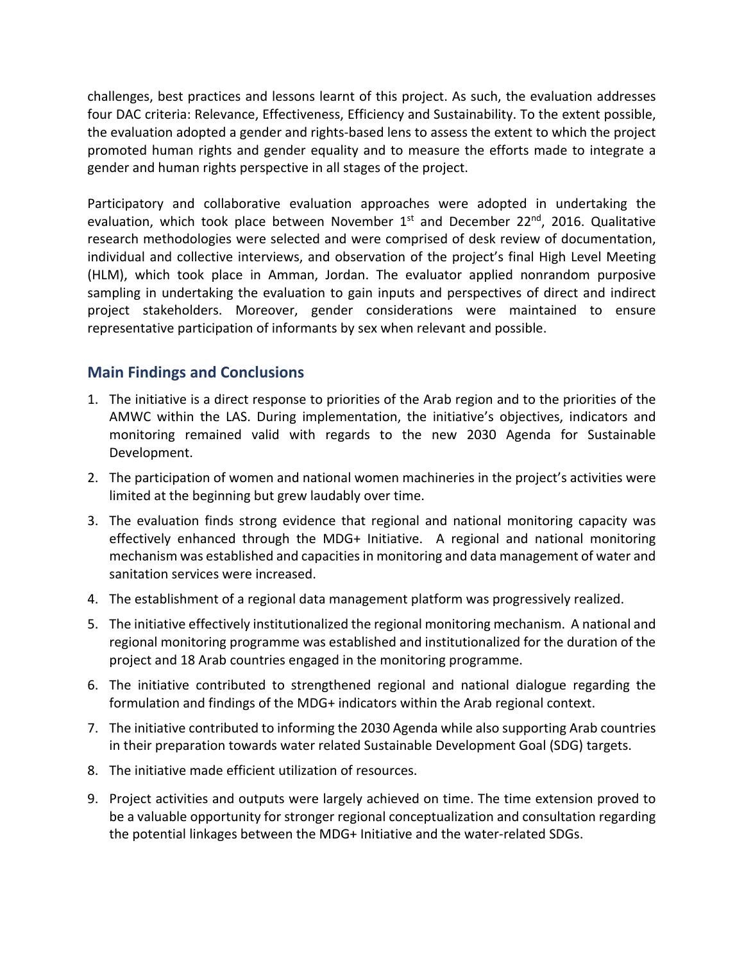challenges, best practices and lessons learnt of this project. As such, the evaluation addresses four DAC criteria: Relevance, Effectiveness, Efficiency and Sustainability. To the extent possible, the evaluation adopted a gender and rights‐based lens to assess the extent to which the project promoted human rights and gender equality and to measure the efforts made to integrate a gender and human rights perspective in all stages of the project.

Participatory and collaborative evaluation approaches were adopted in undertaking the evaluation, which took place between November 1<sup>st</sup> and December 22<sup>nd</sup>, 2016. Qualitative research methodologies were selected and were comprised of desk review of documentation, individual and collective interviews, and observation of the project's final High Level Meeting (HLM), which took place in Amman, Jordan. The evaluator applied nonrandom purposive sampling in undertaking the evaluation to gain inputs and perspectives of direct and indirect project stakeholders. Moreover, gender considerations were maintained to ensure representative participation of informants by sex when relevant and possible.

## **Main Findings and Conclusions**

- 1. The initiative is a direct response to priorities of the Arab region and to the priorities of the AMWC within the LAS. During implementation, the initiative's objectives, indicators and monitoring remained valid with regards to the new 2030 Agenda for Sustainable Development.
- 2. The participation of women and national women machineries in the project's activities were limited at the beginning but grew laudably over time.
- 3. The evaluation finds strong evidence that regional and national monitoring capacity was effectively enhanced through the MDG+ Initiative. A regional and national monitoring mechanism was established and capacities in monitoring and data management of water and sanitation services were increased.
- 4. The establishment of a regional data management platform was progressively realized.
- 5. The initiative effectively institutionalized the regional monitoring mechanism. A national and regional monitoring programme was established and institutionalized for the duration of the project and 18 Arab countries engaged in the monitoring programme.
- 6. The initiative contributed to strengthened regional and national dialogue regarding the formulation and findings of the MDG+ indicators within the Arab regional context.
- 7. The initiative contributed to informing the 2030 Agenda while also supporting Arab countries in their preparation towards water related Sustainable Development Goal (SDG) targets.
- 8. The initiative made efficient utilization of resources.
- 9. Project activities and outputs were largely achieved on time. The time extension proved to be a valuable opportunity for stronger regional conceptualization and consultation regarding the potential linkages between the MDG+ Initiative and the water‐related SDGs.